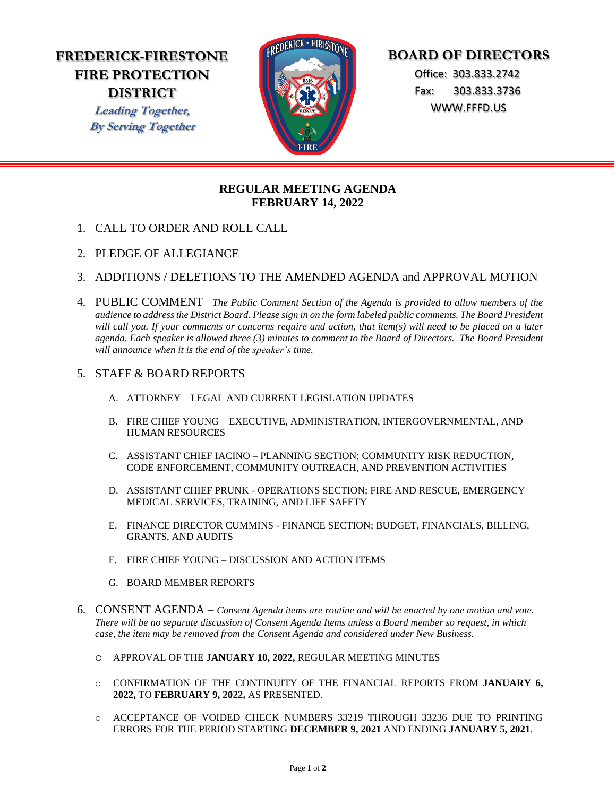# **FREDERICK-FIRESTONE FIRE PROTECTION DISTRICT**

**Leading Together, By Serving Together**



# **BOARD OF DIRECTORS**

 Office: 303.833.2742 Fax: 303.833.3736 WWW.FFFD.US

## **REGULAR MEETING AGENDA FEBRUARY 14, 2022**

- 1. CALL TO ORDER AND ROLL CALL
- 2. PLEDGE OF ALLEGIANCE
- 3. ADDITIONS / DELETIONS TO THE AMENDED AGENDA and APPROVAL MOTION
- 4. PUBLIC COMMENT *The Public Comment Section of the Agenda is provided to allow members of the audience to address the District Board. Please sign in on the form labeled public comments. The Board President will call you. If your comments or concerns require and action, that item(s) will need to be placed on a later agenda. Each speaker is allowed three (3) minutes to comment to the Board of Directors. The Board President will announce when it is the end of the speaker's time.*

### 5. STAFF & BOARD REPORTS

- A. ATTORNEY LEGAL AND CURRENT LEGISLATION UPDATES
- B. FIRE CHIEF YOUNG EXECUTIVE, ADMINISTRATION, INTERGOVERNMENTAL, AND HUMAN RESOURCES
- C. ASSISTANT CHIEF IACINO PLANNING SECTION; COMMUNITY RISK REDUCTION, CODE ENFORCEMENT, COMMUNITY OUTREACH, AND PREVENTION ACTIVITIES
- D. ASSISTANT CHIEF PRUNK OPERATIONS SECTION; FIRE AND RESCUE, EMERGENCY MEDICAL SERVICES, TRAINING, AND LIFE SAFETY
- E. FINANCE DIRECTOR CUMMINS FINANCE SECTION; BUDGET, FINANCIALS, BILLING, GRANTS, AND AUDITS
- F. FIRE CHIEF YOUNG DISCUSSION AND ACTION ITEMS
- G. BOARD MEMBER REPORTS
- 6. CONSENT AGENDA *Consent Agenda items are routine and will be enacted by one motion and vote. There will be no separate discussion of Consent Agenda Items unless a Board member so request, in which case, the item may be removed from the Consent Agenda and considered under New Business.* 
	- o APPROVAL OF THE **JANUARY 10, 2022,** REGULAR MEETING MINUTES
	- o CONFIRMATION OF THE CONTINUITY OF THE FINANCIAL REPORTS FROM **JANUARY 6, 2022,** TO **FEBRUARY 9, 2022,** AS PRESENTED.
	- o ACCEPTANCE OF VOIDED CHECK NUMBERS 33219 THROUGH 33236 DUE TO PRINTING ERRORS FOR THE PERIOD STARTING **DECEMBER 9, 2021** AND ENDING **JANUARY 5, 2021**.